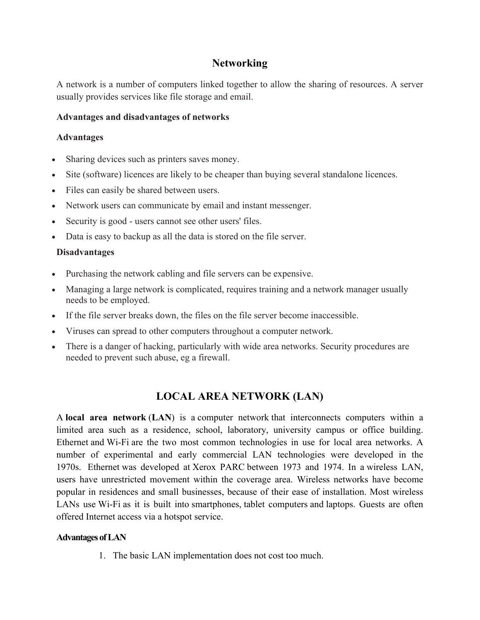## **Networking**

A network is a number of computers linked together to allow the sharing of resources. A server usually provides services like file storage and email.

## **Advantages and disadvantages of networks**

## **Advantages**

- Sharing devices such as printers saves money.
- Site (software) licences are likely to be cheaper than buying several standalone licences.
- Files can easily be shared between users.
- Network users can communicate by email and instant messenger.
- Security is good users cannot see other users' files.
- Data is easy to backup as all the data is stored on the file server.

## **Disadvantages**

- Purchasing the network cabling and file servers can be expensive.
- Managing a large network is complicated, requires training and a network manager usually needs to be employed.
- If the file server breaks down, the files on the file server become inaccessible.
- Viruses can spread to other computers throughout a computer network.
- There is a danger of hacking, particularly with wide area networks. Security procedures are needed to prevent such abuse, eg a firewall.

# **LOCAL AREA NETWORK (LAN)**

A **local area network** (**LAN**) is a computer network that interconnects computers within a limited area such as a residence, school, laboratory, university campus or office building. Ethernet and Wi-Fi are the two most common technologies in use for local area networks. A number of experimental and early commercial LAN technologies were developed in the 1970s. Ethernet was developed at Xerox PARC between 1973 and 1974. In a wireless LAN, users have unrestricted movement within the coverage area. Wireless networks have become popular in residences and small businesses, because of their ease of installation. Most wireless LANs use Wi-Fi as it is built into smartphones, tablet computers and laptops. Guests are often offered Internet access via a hotspot service.

#### **Advantages of LAN**

1. The basic LAN implementation does not cost too much.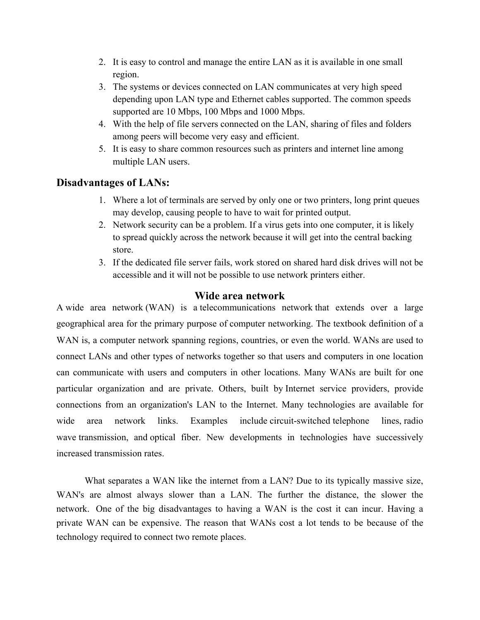- 2. It is easy to control and manage the entire LAN as it is available in one small region.
- 3. The systems or devices connected on LAN communicates at very high speed depending upon LAN type and Ethernet cables supported. The common speeds supported are 10 Mbps, 100 Mbps and 1000 Mbps.
- 4. With the help of file servers connected on the LAN, sharing of files and folders among peers will become very easy and efficient.
- 5. It is easy to share common resources such as printers and internet line among multiple LAN users.

## **Disadvantages of LANs:**

- 1. Where a lot of terminals are served by only one or two printers, long print queues may develop, causing people to have to wait for printed output.
- 2. Network security can be a problem. If a virus gets into one computer, it is likely to spread quickly across the network because it will get into the central backing store.
- 3. If the dedicated file server fails, work stored on shared hard disk drives will not be accessible and it will not be possible to use network printers either.

## **Wide area network**

A wide area network (WAN) is a telecommunications network that extends over a large geographical area for the primary purpose of computer networking. The textbook definition of a WAN is, a computer network spanning regions, countries, or even the world. WANs are used to connect LANs and other types of networks together so that users and computers in one location can communicate with users and computers in other locations. Many WANs are built for one particular organization and are private. Others, built by Internet service providers, provide connections from an organization's LAN to the Internet. Many technologies are available for wide area network links. Examples include circuit-switched telephone lines, radio wave transmission, and optical fiber. New developments in technologies have successively increased transmission rates.

 What separates a WAN like the internet from a LAN? Due to its typically massive size, WAN's are almost always slower than a LAN. The further the distance, the slower the network. One of the big disadvantages to having a WAN is the cost it can incur. Having a private WAN can be expensive. The reason that WANs cost a lot tends to be because of the technology required to connect two remote places.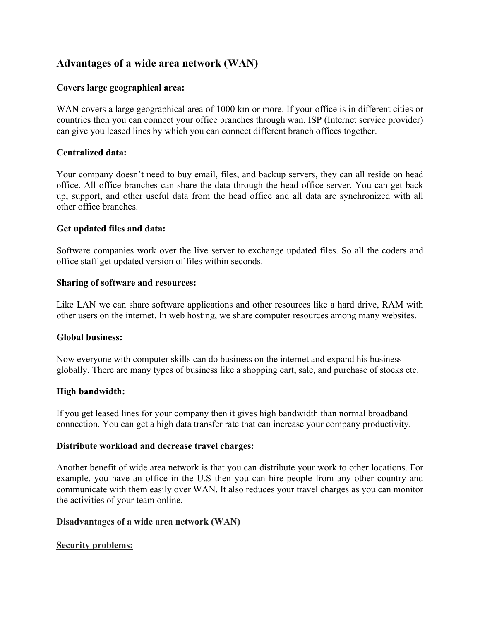# **Advantages of a wide area network (WAN)**

## **Covers large geographical area:**

WAN covers a large geographical area of 1000 km or more. If your office is in different cities or countries then you can connect your office branches through wan. ISP (Internet service provider) can give you leased lines by which you can connect different branch offices together.

#### **Centralized data:**

Your company doesn't need to buy email, files, and backup servers, they can all reside on head office. All office branches can share the data through the head office server. You can get back up, support, and other useful data from the head office and all data are synchronized with all other office branches.

#### **Get updated files and data:**

Software companies work over the live server to exchange updated files. So all the coders and office staff get updated version of files within seconds.

#### **Sharing of software and resources:**

Like LAN we can share software applications and other resources like a hard drive, RAM with other users on the internet. In web hosting, we share computer resources among many websites.

#### **Global business:**

Now everyone with computer skills can do business on the internet and expand his business globally. There are many types of business like a shopping cart, sale, and purchase of stocks etc.

## **High bandwidth:**

If you get leased lines for your company then it gives high bandwidth than normal broadband connection. You can get a high data transfer rate that can increase your company productivity.

#### **Distribute workload and decrease travel charges:**

Another benefit of wide area network is that you can distribute your work to other locations. For example, you have an office in the U.S then you can hire people from any other country and communicate with them easily over WAN. It also reduces your travel charges as you can monitor the activities of your team online.

#### **Disadvantages of a wide area network (WAN)**

#### **Security problems:**